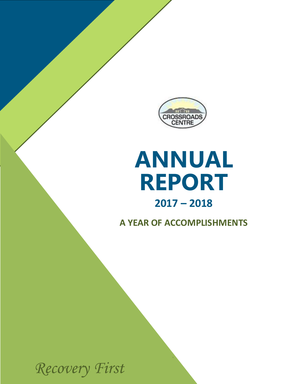

# **REPORT ANNUAL**

### **2017 – 2018**

**A YEAR OF ACCOMPLISHMENTS** 

*Recovery First*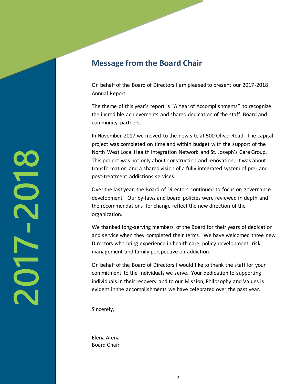#### **Message from the Board Chair**

On behalf of the Board of Directors I am pleased to present our 2017-2018 Annual Report.

The theme of this year's report is "A Year of Accomplishments" to recognize the incredible achievements and shared dedication of the staff, Board and community partners.

In November 2017 we moved to the new site at 500 Oliver Road. The capital project was completed on time and within budget with the support of the North West Local Health Integration Network and St. Joseph's Care Group. This project was not only about construction and renovation; it was about transformation and a shared vision of a fully integrated system of pre- and post-treatment addictions services.

Over the last year, the Board of Directors continued to focus on governance development. Our by-laws and board policies were reviewed in depth and the recommendations for change reflect the new direction of the organization.

We thanked long-serving members of the Board for their years of dedication and service when they completed their terms. We have welcomed three new Directors who bring experience in health care, policy development, risk management and family perspective on addiction.

On behalf of the Board of Directors I would like to thank the staff for your commitment to the individuals we serve. Your dedication to supporting individuals in their recovery and to our Mission, Philosophy and Values is evident in the accomplishments we have celebrated over the past year.

Sincerely,

Elena Arena Board Chair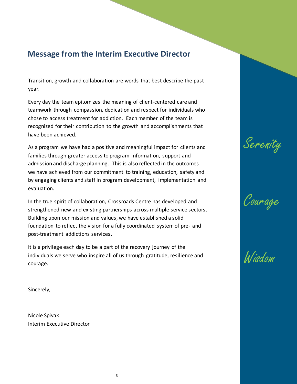#### **Message from the Interim Executive Director**

Transition, growth and collaboration are words that best describe the past year.

Every day the team epitomizes the meaning of client-centered care and teamwork through compassion, dedication and respect for individuals who chose to access treatment for addiction. Each member of the team is recognized for their contribution to the growth and accomplishments that have been achieved.

As a program we have had a positive and meaningful impact for clients and families through greater access to program information, support and admission and discharge planning. This is also reflected in the outcomes we have achieved from our commitment to training, education, safety and by engaging clients and staff in program development, implementation and evaluation.

In the true spirit of collaboration, Crossroads Centre has developed and strengthened new and existing partnerships across multiple service sectors. Building upon our mission and values, we have established a solid foundation to reflect the vision for a fully coordinated system of pre- and post-treatment addictions services.

It is a privilege each day to be a part of the recovery journey of the individuals we serve who inspire all of us through gratitude, resilience and courage.

Sincerely,

Nicole Spivak Interim Executive Director





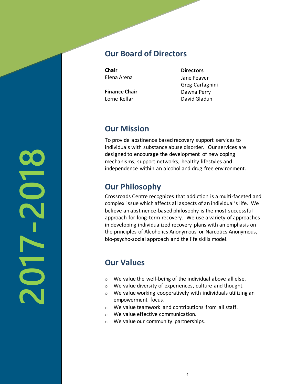#### **Our Board of Directors**

**Chair**  Elena Arena

**Finance Chair**  Lorne Kellar

**Directors**  Jane Feaver Greg Carfagnini Dawna Perry David Gladun

#### **Our Mission**

To provide abstinence based recovery support services to individuals with substance abuse disorder. Our services are designed to encourage the development of new coping mechanisms, support networks, healthy lifestyles and independence within an alcohol and drug free environment.

#### **Our Philosophy**

Crossroads Centre recognizes that addiction is a multi-faceted and complex issue which affects all aspects of an individual's life. We believe an abstinence-based philosophy is the most successful approach for long-term recovery. We use a variety of approaches in developing individualized recovery plans with an emphasis on the principles of Alcoholics Anonymous or Narcotics Anonymous, bio-psycho-social approach and the life skills model.

#### **Our Values**

- $\circ$  We value the well-being of the individual above all else.
- o We value diversity of experiences, culture and thought.
- o We value working cooperatively with individuals utilizing an empowerment focus.
- o We value teamwork and contributions from all staff.
- o We value effective communication.
- o We value our community partnerships.

**2017-2018**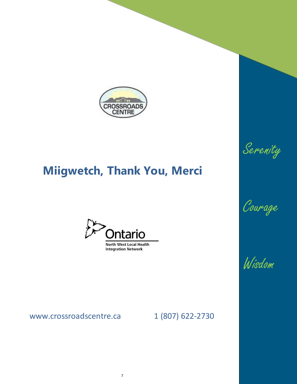

## **Miigwetch, Thank You, Merci**



www.crossroadscentre.ca 1 (807) 622-2730





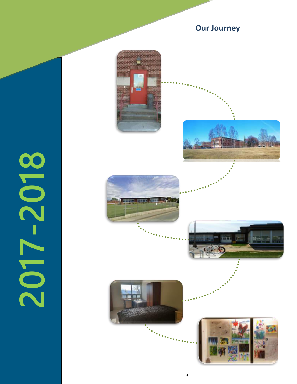